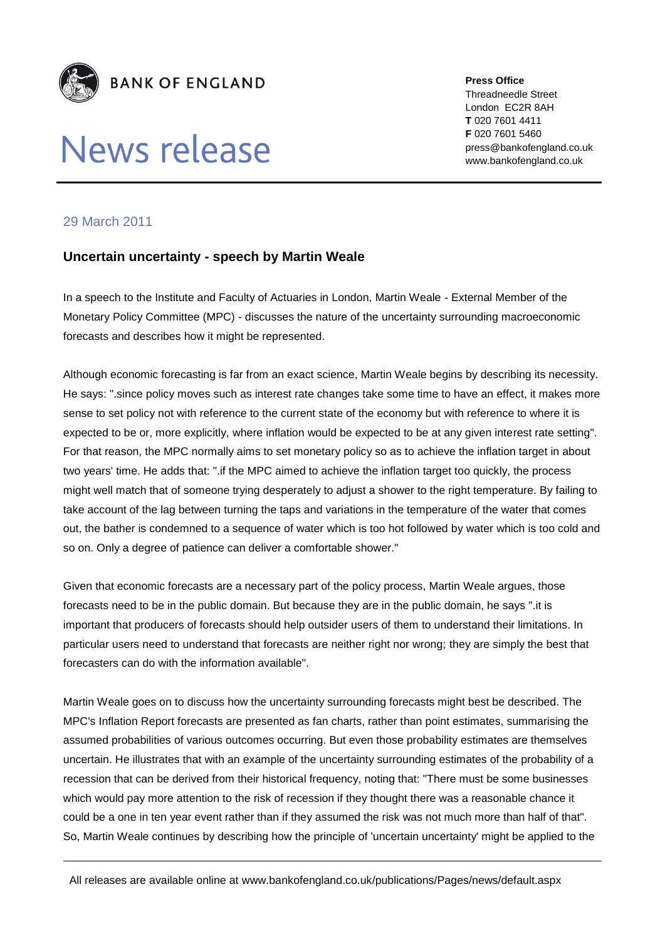

## News release

**Press Office** Threadneedle Street London EC2R 8AH **T** 020 7601 4411 **F** 020 7601 5460 press@bankofengland.co.uk www.bankofengland.co.uk

## 29 March 2011

## **Uncertain uncertainty - speech by Martin Weale**

In a speech to the Institute and Faculty of Actuaries in London, Martin Weale - External Member of the Monetary Policy Committee (MPC) - discusses the nature of the uncertainty surrounding macroeconomic forecasts and describes how it might be represented.

Although economic forecasting is far from an exact science, Martin Weale begins by describing its necessity. He says: ".since policy moves such as interest rate changes take some time to have an effect, it makes more sense to set policy not with reference to the current state of the economy but with reference to where it is expected to be or, more explicitly, where inflation would be expected to be at any given interest rate setting". For that reason, the MPC normally aims to set monetary policy so as to achieve the inflation target in about two years' time. He adds that: ".if the MPC aimed to achieve the inflation target too quickly, the process might well match that of someone trying desperately to adjust a shower to the right temperature. By failing to take account of the lag between turning the taps and variations in the temperature of the water that comes out, the bather is condemned to a sequence of water which is too hot followed by water which is too cold and so on. Only a degree of patience can deliver a comfortable shower."

Given that economic forecasts are a necessary part of the policy process, Martin Weale argues, those forecasts need to be in the public domain. But because they are in the public domain, he says ".it is important that producers of forecasts should help outsider users of them to understand their limitations. In particular users need to understand that forecasts are neither right nor wrong; they are simply the best that forecasters can do with the information available".

Martin Weale goes on to discuss how the uncertainty surrounding forecasts might best be described. The MPC's Inflation Report forecasts are presented as fan charts, rather than point estimates, summarising the assumed probabilities of various outcomes occurring. But even those probability estimates are themselves uncertain. He illustrates that with an example of the uncertainty surrounding estimates of the probability of a recession that can be derived from their historical frequency, noting that: "There must be some businesses which would pay more attention to the risk of recession if they thought there was a reasonable chance it could be a one in ten year event rather than if they assumed the risk was not much more than half of that". So, Martin Weale continues by describing how the principle of 'uncertain uncertainty' might be applied to the